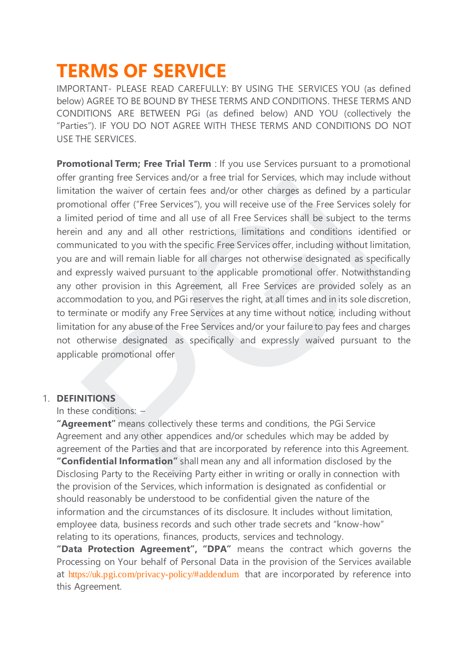# **TERMS OF SERVICE**

IMPORTANT- PLEASE READ CAREFULLY: BY USING THE SERVICES YOU (as defined below) AGREE TO BE BOUND BY THESE TERMS AND CONDITIONS. THESE TERMS AND CONDITIONS ARE BETWEEN PGi (as defined below) AND YOU (collectively the "Parties"). IF YOU DO NOT AGREE WITH THESE TERMS AND CONDITIONS DO NOT USE THE SERVICES.

**Promotional Term; Free Trial Term** : If you use Services pursuant to a promotional offer granting free Services and/or a free trial for Services, which may include without limitation the waiver of certain fees and/or other charges as defined by a particular promotional offer ("Free Services"), you will receive use of the Free Services solely for a limited period of time and all use of all Free Services shall be subject to the terms herein and any and all other restrictions, limitations and conditions identified or communicated to you with the specific Free Services offer, including without limitation, you are and will remain liable for all charges not otherwise designated as specifically and expressly waived pursuant to the applicable promotional offer. Notwithstanding any other provision in this Agreement, all Free Services are provided solely as an accommodation to you, and PGi reserves the right, at all times and in its sole discretion, to terminate or modify any Free Services at any time without notice, including without limitation for any abuse of the Free Services and/or your failure to pay fees and charges not otherwise designated as specifically and expressly waived pursuant to the applicable promotional offer gramming mee Services and/or a free train or services, which ringly inculate<br>trion the waiver of certain fees and/or chere transperses as defined by a pa<br>obtional offer ("Free Services"), you will receive use of the Free S

### 1. **DEFINITIONS**

In these conditions: –

**"Agreement"** means collectively these terms and conditions, the PGi Service Agreement and any other appendices and/or schedules which may be added by agreement of the Parties and that are incorporated by reference into this Agreement. **"Confidential Information"** shall mean any and all information disclosed by the Disclosing Party to the Receiving Party either in writing or orally in connection with the provision of the Services, which information is designated as confidential or should reasonably be understood to be confidential given the nature of the information and the circumstances of its disclosure. It includes without limitation, employee data, business records and such other trade secrets and "know-how" relating to its operations, finances, products, services and technology.

**"Data Protection Agreement", "DPA"** means the contract which governs the Processing on Your behalf of Personal Data in the provision of the Services available at <https://uk.pgi.com/privacy-policy/#addendum> that are incorporated by reference into this Agreement.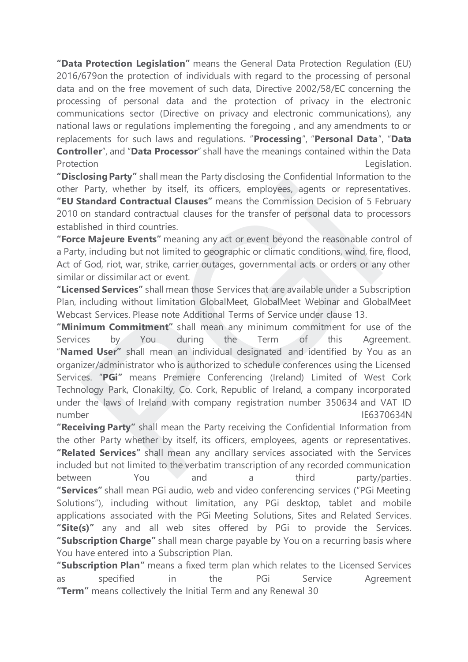**"Data Protection Legislation"** means the General Data Protection Regulation (EU) 2016/679on the protection of individuals with regard to the processing of personal data and on the free movement of such data, Directive 2002/58/EC concerning the processing of personal data and the protection of privacy in the electronic communications sector (Directive on privacy and electronic communications), any national laws or regulations implementing the foregoing , and any amendments to or replacements for such laws and regulations. "**Processing**", "**Personal Data**", "**Data Controller**", and "**Data Processor**" shall have the meanings contained within the Data Protection **Legislation** 

**"Disclosing Party"** shall mean the Party disclosing the Confidential Information to the other Party, whether by itself, its officers, employees, agents or representatives. **"EU Standard Contractual Clauses"** means the Commission Decision of 5 February 2010 on standard contractual clauses for the transfer of personal data to processors established in third countries.

**"Force Majeure Events"** meaning any act or event beyond the reasonable control of a Party, including but not limited to geographic or climatic conditions, wind, fire, flood, Act of God, riot, war, strike, carrier outages, governmental acts or orders or any other similar or dissimilar act or event.

**"Licensed Services"** shall mean those Services that are available under a Subscription Plan, including without limitation GlobalMeet, GlobalMeet Webinar and GlobalMeet Webcast Services. Please note Additional Terms of Service under clause 13.

**"Minimum Commitment"** shall mean any minimum commitment for use of the Services by You during the Term of this Agreement. "**Named User"** shall mean an individual designated and identified by You as an organizer/administrator who is authorized to schedule conferences using the Licensed Services. "**PGi"** means Premiere Conferencing (Ireland) Limited of West Cork Technology Park, Clonakilty, Co. Cork, Republic of Ireland, a company incorporated under the laws of Ireland with company registration number 350634 and VAT ID number IE6370634N **ISONITY STEAREM STEAREM STEAREM STEAREM STEAREM STEAREM STEAM STEAM PRINCIPLY (For the transfer of personal data to process agents or represent trandard Contractual Clauses" means the Commission Decision of 5 Feor standar** 

**"Receiving Party"** shall mean the Party receiving the Confidential Information from the other Party whether by itself, its officers, employees, agents or representatives. **"Related Services"** shall mean any ancillary services associated with the Services included but not limited to the verbatim transcription of any recorded communication between You and a third party/parties. **"Services"** shall mean PGi audio, web and video conferencing services ("PGi Meeting Solutions"), including without limitation, any PGi desktop, tablet and mobile applications associated with the PGi Meeting Solutions, Sites and Related Services. **"Site(s)"** any and all web sites offered by PGi to provide the Services. **"Subscription Charge"** shall mean charge payable by You on a recurring basis where You have entered into a Subscription Plan.

**"Subscription Plan"** means a fixed term plan which relates to the Licensed Services as specified in the PGi Service Agreement **"Term"** means collectively the Initial Term and any Renewal 30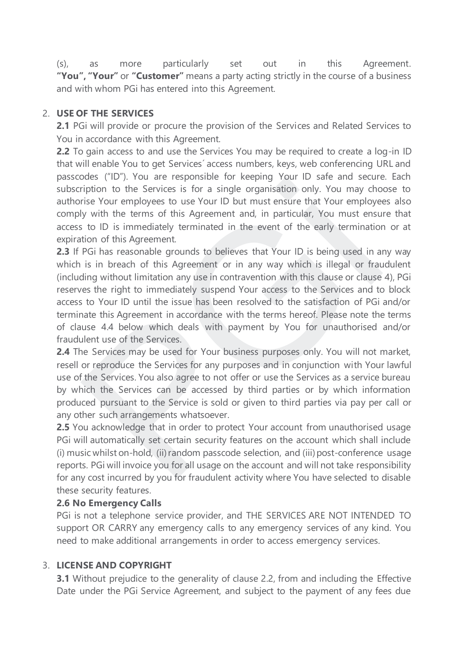(s), as more particularly set out in this Agreement. **"You", "Your"** or **"Customer"** means a party acting strictly in the course of a business and with whom PGi has entered into this Agreement.

### 2. **USE OF THE SERVICES**

**2.1** PGi will provide or procure the provision of the Services and Related Services to You in accordance with this Agreement.

**2.2** To gain access to and use the Services You may be required to create a log-in ID that will enable You to get Services´ access numbers, keys, web conferencing URL and passcodes ("ID"). You are responsible for keeping Your ID safe and secure. Each subscription to the Services is for a single organisation only. You may choose to authorise Your employees to use Your ID but must ensure that Your employees also comply with the terms of this Agreement and, in particular, You must ensure that access to ID is immediately terminated in the event of the early termination or at expiration of this Agreement.

**2.3** If PGi has reasonable grounds to believes that Your ID is being used in any way which is in breach of this Agreement or in any way which is illegal or fraudulent (including without limitation any use in contravention with this clause or clause 4), PGi reserves the right to immediately suspend Your access to the Services and to block access to Your ID until the issue has been resolved to the satisfaction of PGi and/or terminate this Agreement in accordance with the terms hereof. Please note the terms of clause 4.4 below which deals with payment by You for unauthorised and/or fraudulent use of the Services. Sources (*ii*), Four are responsible for keeping Follom ii) sale and secure<br>Figition to the Services is for a single organisation only. You may cho<br>rise Your employees to use Your ID but must ensure that Your employe<br>in th

**2.4** The Services may be used for Your business purposes only. You will not market, resell or reproduce the Services for any purposes and in conjunction with Your lawful use of the Services. You also agree to not offer or use the Services as a service bureau by which the Services can be accessed by third parties or by which information produced pursuant to the Service is sold or given to third parties via pay per call or any other such arrangements whatsoever.

**2.5** You acknowledge that in order to protect Your account from unauthorised usage PGi will automatically set certain security features on the account which shall include (i) music whilst on-hold, (ii) random passcode selection, and (iii) post-conference usage reports. PGi will invoice you for all usage on the account and will not take responsibility for any cost incurred by you for fraudulent activity where You have selected to disable these security features.

### **2.6 No Emergency Calls**

PGi is not a telephone service provider, and THE SERVICES ARE NOT INTENDED TO support OR CARRY any emergency calls to any emergency services of any kind. You need to make additional arrangements in order to access emergency services.

# 3. **LICENSE AND COPYRIGHT**

**3.1** Without prejudice to the generality of clause 2.2, from and including the Effective Date under the PGi Service Agreement, and subject to the payment of any fees due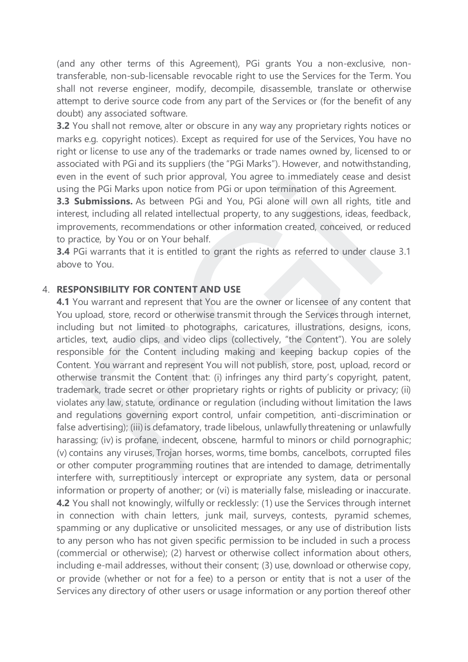(and any other terms of this Agreement), PGi grants You a non-exclusive, nontransferable, non-sub-licensable revocable right to use the Services for the Term. You shall not reverse engineer, modify, decompile, disassemble, translate or otherwise attempt to derive source code from any part of the Services or (for the benefit of any doubt) any associated software.

**3.2** You shall not remove, alter or obscure in any way any proprietary rights notices or marks e.g. copyright notices). Except as required for use of the Services, You have no right or license to use any of the trademarks or trade names owned by, licensed to or associated with PGi and its suppliers (the "PGi Marks"). However, and notwithstanding, even in the event of such prior approval, You agree to immediately cease and desist using the PGi Marks upon notice from PGi or upon termination of this Agreement.

**3.3 Submissions.** As between PGi and You, PGi alone will own all rights, title and interest, including all related intellectual property, to any suggestions, ideas, feedback, improvements, recommendations or other information created, conceived, or reduced to practice, by You or on Your behalf.

**3.4** PGi warrants that it is entitled to grant the rights as referred to under clause 3.1 above to You.

#### 4. **RESPONSIBILITY FOR CONTENT AND USE**

**4.1** You warrant and represent that You are the owner or licensee of any content that You upload, store, record or otherwise transmit through the Services through internet, including but not limited to photographs, caricatures, illustrations, designs, icons, articles, text, audio clips, and video clips (collectively, "the Content"). You are solely responsible for the Content including making and keeping backup copies of the Content. You warrant and represent You will not publish, store, post, upload, record or otherwise transmit the Content that: (i) infringes any third party's copyright, patent, trademark, trade secret or other proprietary rights or rights of publicity or privacy; (ii) violates any law, statute, ordinance or regulation (including without limitation the laws and regulations governing export control, unfair competition, anti-discrimination or false advertising); (iii) is defamatory, trade libelous, unlawfully threatening or unlawfully harassing; (iv) is profane, indecent, obscene, harmful to minors or child pornographic; (v) contains any viruses, Trojan horses, worms, time bombs, cancelbots, corrupted files or other computer programming routines that are intended to damage, detrimentally interfere with, surreptitiously intercept or expropriate any system, data or personal information or property of another; or (vi) is materially false, misleading or inaccurate. **4.2** You shall not knowingly, wilfully or recklessly: (1) use the Services through internet in connection with chain letters, junk mail, surveys, contests, pyramid schemes, spamming or any duplicative or unsolicited messages, or any use of distribution lists to any person who has not given specific permission to be included in such a process (commercial or otherwise); (2) harvest or otherwise collect information about others, including e-mail addresses, without their consent; (3) use, download or otherwise copy, or provide (whether or not for a fee) to a person or entity that is not a user of the Services any directory of other users or usage information or any portion thereof other In the event of such prior approach, to a gree to minetarative case and<br>the PGi Marks upon notice from PGi or upon termination of this Agreem<br> **ubmissions.** As between PGi and You, PGi alone will own all rights, tilt, they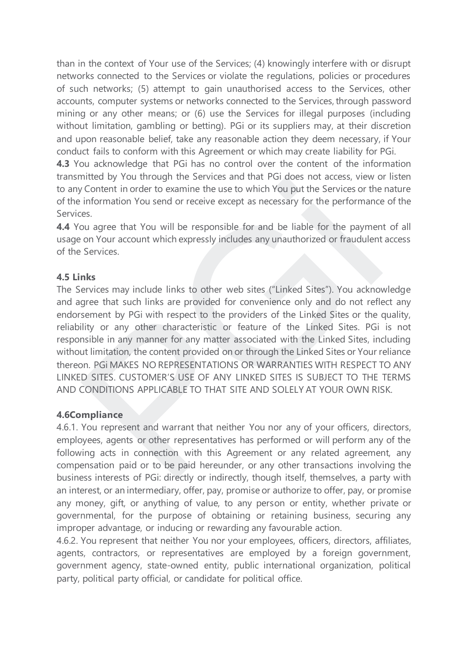than in the context of Your use of the Services; (4) knowingly interfere with or disrupt networks connected to the Services or violate the regulations, policies or procedures of such networks; (5) attempt to gain unauthorised access to the Services, other accounts, computer systems or networks connected to the Services, through password mining or any other means; or (6) use the Services for illegal purposes (including without limitation, gambling or betting). PGi or its suppliers may, at their discretion and upon reasonable belief, take any reasonable action they deem necessary, if Your conduct fails to conform with this Agreement or which may create liability for PGi.

**4.3** You acknowledge that PGi has no control over the content of the information transmitted by You through the Services and that PGi does not access, view or listen to any Content in order to examine the use to which You put the Services or the nature of the information You send or receive except as necessary for the performance of the Services.

**4.4** You agree that You will be responsible for and be liable for the payment of all usage on Your account which expressly includes any unauthorized or fraudulent access of the Services.

### **4.5 Links**

The Services may include links to other web sites ("Linked Sites"). You acknowledge and agree that such links are provided for convenience only and do not reflect any endorsement by PGi with respect to the providers of the Linked Sites or the quality, reliability or any other characteristic or feature of the Linked Sites. PGi is not responsible in any manner for any matter associated with the Linked Sites, including without limitation, the content provided on or through the Linked Sites or Your reliance thereon. PGi MAKES NO REPRESENTATIONS OR WARRANTIES WITH RESPECT TO ANY LINKED SITES. CUSTOMER'S USE OF ANY LINKED SITES IS SUBJECT TO THE TERMS AND CONDITIONS APPLICABLE TO THAT SITE AND SOLELY AT YOUR OWN RISK. Intend by You through the Services and tar and a Follows hot content in order to examine the use to which You put the Services or the information You send or receive except as necessary for the performances.<br>Solution and t

### **4.6Compliance**

4.6.1. You represent and warrant that neither You nor any of your officers, directors, employees, agents or other representatives has performed or will perform any of the following acts in connection with this Agreement or any related agreement, any compensation paid or to be paid hereunder, or any other transactions involving the business interests of PGi: directly or indirectly, though itself, themselves, a party with an interest, or an intermediary, offer, pay, promise or authorize to offer, pay, or promise any money, gift, or anything of value, to any person or entity, whether private or governmental, for the purpose of obtaining or retaining business, securing any improper advantage, or inducing or rewarding any favourable action.

4.6.2. You represent that neither You nor your employees, officers, directors, affiliates, agents, contractors, or representatives are employed by a foreign government, government agency, state-owned entity, public international organization, political party, political party official, or candidate for political office.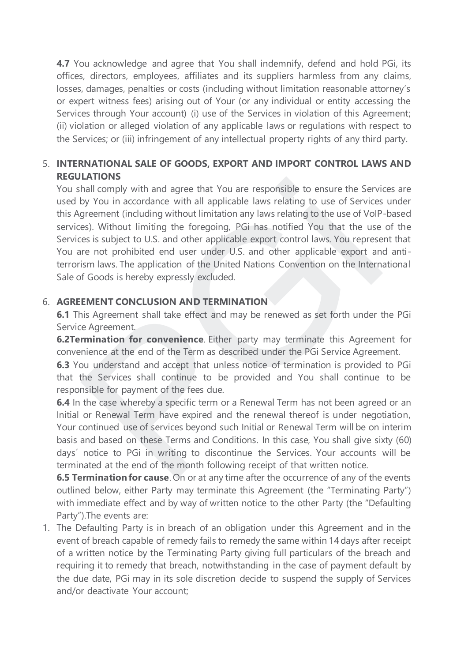**4.7** You acknowledge and agree that You shall indemnify, defend and hold PGi, its offices, directors, employees, affiliates and its suppliers harmless from any claims, losses, damages, penalties or costs (including without limitation reasonable attorney's or expert witness fees) arising out of Your (or any individual or entity accessing the Services through Your account) (i) use of the Services in violation of this Agreement; (ii) violation or alleged violation of any applicable laws or regulations with respect to the Services; or (iii) infringement of any intellectual property rights of any third party.

# 5. **INTERNATIONAL SALE OF GOODS, EXPORT AND IMPORT CONTROL LAWS AND REGULATIONS**

You shall comply with and agree that You are responsible to ensure the Services are used by You in accordance with all applicable laws relating to use of Services under this Agreement (including without limitation any laws relating to the use of VoIP-based services). Without limiting the foregoing, PGi has notified You that the use of the Services is subject to U.S. and other applicable export control laws. You represent that You are not prohibited end user under U.S. and other applicable export and antiterrorism laws. The application of the United Nations Convention on the International Sale of Goods is hereby expressly excluded. **EXENTING**<br> **EXENCITY**<br> **EXENCITY**<br> **EXENCITY**<br> **EXENCITY**<br> **EXELCITY** TO THE SURVE TO THE SURVENTIFIC THE SURVENTIFIC THE SURVENTIFIC THE SURVENTIFIC THE SURVENTIFIC THE SURVENTIFIC THE USE OF SURVEY ON UNITABLE THE THE O

### 6. **AGREEMENT CONCLUSION AND TERMINATION**

**6.1** This Agreement shall take effect and may be renewed as set forth under the PGi Service Agreement.

**6.2Termination for convenience**. Either party may terminate this Agreement for convenience at the end of the Term as described under the PGi Service Agreement.

**6.3** You understand and accept that unless notice of termination is provided to PGi that the Services shall continue to be provided and You shall continue to be responsible for payment of the fees due.

**6.4** In the case whereby a specific term or a Renewal Term has not been agreed or an Initial or Renewal Term have expired and the renewal thereof is under negotiation, Your continued use of services beyond such Initial or Renewal Term will be on interim basis and based on these Terms and Conditions. In this case, You shall give sixty (60) days´ notice to PGi in writing to discontinue the Services. Your accounts will be terminated at the end of the month following receipt of that written notice.

**6.5 Termination for cause**. On or at any time after the occurrence of any of the events outlined below, either Party may terminate this Agreement (the "Terminating Party") with immediate effect and by way of written notice to the other Party (the "Defaulting Party").The events are:

1. The Defaulting Party is in breach of an obligation under this Agreement and in the event of breach capable of remedy fails to remedy the same within 14 days after receipt of a written notice by the Terminating Party giving full particulars of the breach and requiring it to remedy that breach, notwithstanding in the case of payment default by the due date, PGi may in its sole discretion decide to suspend the supply of Services and/or deactivate Your account;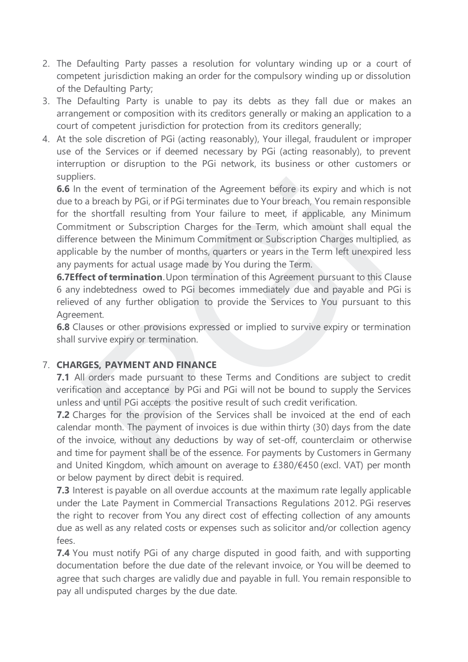- 2. The Defaulting Party passes a resolution for voluntary winding up or a court of competent jurisdiction making an order for the compulsory winding up or dissolution of the Defaulting Party;
- 3. The Defaulting Party is unable to pay its debts as they fall due or makes an arrangement or composition with its creditors generally or making an application to a court of competent jurisdiction for protection from its creditors generally;
- 4. At the sole discretion of PGi (acting reasonably), Your illegal, fraudulent or improper use of the Services or if deemed necessary by PGi (acting reasonably), to prevent interruption or disruption to the PGi network, its business or other customers or suppliers.

**6.6** In the event of termination of the Agreement before its expiry and which is not due to a breach by PGi, or if PGi terminates due to Your breach, You remain responsible for the shortfall resulting from Your failure to meet, if applicable, any Minimum Commitment or Subscription Charges for the Term, which amount shall equal the difference between the Minimum Commitment or Subscription Charges multiplied, as applicable by the number of months, quarters or years in the Term left unexpired less any payments for actual usage made by You during the Term. entiative of termination of the Agreement before its expiry and which<br>the event of termination of the Agreement before its expiry and which<br>a breach by PGi, or if PGi terminates due to Your breach, You remain respe<br>e short

**6.7Effect of termination**. Upon termination of this Agreement pursuant to this Clause 6 any indebtedness owed to PGi becomes immediately due and payable and PGi is relieved of any further obligation to provide the Services to You pursuant to this Agreement.

**6.8** Clauses or other provisions expressed or implied to survive expiry or termination shall survive expiry or termination.

# 7. **CHARGES, PAYMENT AND FINANCE**

**7.1** All orders made pursuant to these Terms and Conditions are subject to credit verification and acceptance by PGi and PGi will not be bound to supply the Services unless and until PGi accepts the positive result of such credit verification.

**7.2** Charges for the provision of the Services shall be invoiced at the end of each calendar month. The payment of invoices is due within thirty (30) days from the date of the invoice, without any deductions by way of set-off, counterclaim or otherwise and time for payment shall be of the essence. For payments by Customers in Germany and United Kingdom, which amount on average to £380/€450 (excl. VAT) per month or below payment by direct debit is required.

**7.3** Interest is payable on all overdue accounts at the maximum rate legally applicable under the Late Payment in Commercial Transactions Regulations 2012. PGi reserves the right to recover from You any direct cost of effecting collection of any amounts due as well as any related costs or expenses such as solicitor and/or collection agency fees.

**7.4** You must notify PGi of any charge disputed in good faith, and with supporting documentation before the due date of the relevant invoice, or You will be deemed to agree that such charges are validly due and payable in full. You remain responsible to pay all undisputed charges by the due date.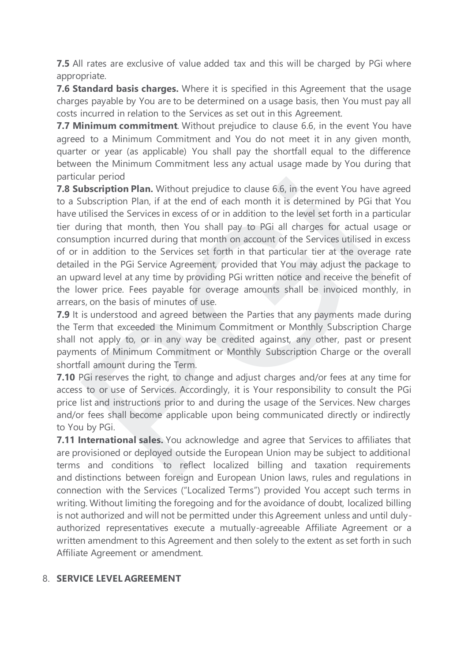**7.5** All rates are exclusive of value added tax and this will be charged by PGi where appropriate.

**7.6 Standard basis charges.** Where it is specified in this Agreement that the usage charges payable by You are to be determined on a usage basis, then You must pay all costs incurred in relation to the Services as set out in this Agreement.

**7.7 Minimum commitment***.* Without prejudice to clause 6.6, in the event You have agreed to a Minimum Commitment and You do not meet it in any given month, quarter or year (as applicable) You shall pay the shortfall equal to the difference between the Minimum Commitment less any actual usage made by You during that particular period

**7.8 Subscription Plan***.* Without prejudice to clause 6.6, in the event You have agreed to a Subscription Plan, if at the end of each month it is determined by PGi that You have utilised the Services in excess of or in addition to the level set forth in a particular tier during that month, then You shall pay to PGi all charges for actual usage or consumption incurred during that month on account of the Services utilised in excess of or in addition to the Services set forth in that particular tier at the overage rate detailed in the PGi Service Agreement, provided that You may adjust the package to an upward level at any time by providing PGi written notice and receive the benefit of the lower price. Fees payable for overage amounts shall be invoiced monthly, in arrears, on the basis of minutes of use. and period<br>and period many without prejudice to clause 6.6, in the event You have<br>ubscription Plan, if at the end of each month it is determined by PGi th<br>tilised the Services in excess of or in addition to the level set f

**7.9** It is understood and agreed between the Parties that any payments made during the Term that exceeded the Minimum Commitment or Monthly Subscription Charge shall not apply to, or in any way be credited against, any other, past or present payments of Minimum Commitment or Monthly Subscription Charge or the overall shortfall amount during the Term.

**7.10** PGi reserves the right, to change and adjust charges and/or fees at any time for access to or use of Services. Accordingly, it is Your responsibility to consult the PGi price list and instructions prior to and during the usage of the Services. New charges and/or fees shall become applicable upon being communicated directly or indirectly to You by PGi.

**7.11 International sales.** You acknowledge and agree that Services to affiliates that are provisioned or deployed outside the European Union may be subject to additional terms and conditions to reflect localized billing and taxation requirements and distinctions between foreign and European Union laws, rules and regulations in connection with the Services ("Localized Terms") provided You accept such terms in writing. Without limiting the foregoing and for the avoidance of doubt, localized billing is not authorized and will not be permitted under this Agreement unless and until dulyauthorized representatives execute a mutually-agreeable Affiliate Agreement or a written amendment to this Agreement and then solely to the extent as set forth in such Affiliate Agreement or amendment.

### 8. **SERVICE LEVEL AGREEMENT**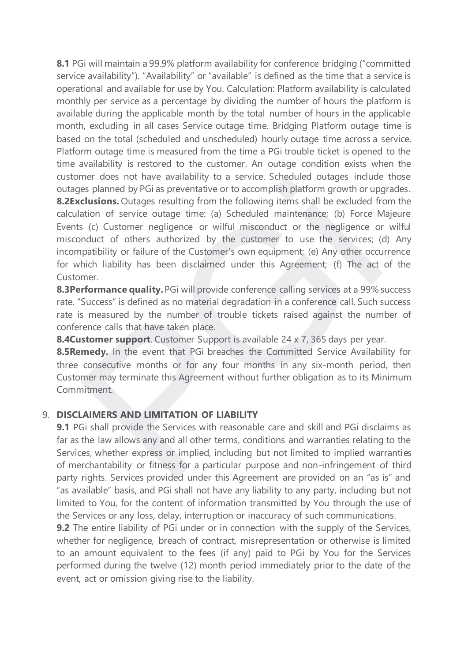**8.1** PGi will maintain a 99.9% platform availability for conference bridging ("committed service availability"). "Availability" or "available" is defined as the time that a service is operational and available for use by You. Calculation: Platform availability is calculated monthly per service as a percentage by dividing the number of hours the platform is available during the applicable month by the total number of hours in the applicable month, excluding in all cases Service outage time. Bridging Platform outage time is based on the total (scheduled and unscheduled) hourly outage time across a service. Platform outage time is measured from the time a PGi trouble ticket is opened to the time availability is restored to the customer. An outage condition exists when the customer does not have availability to a service. Scheduled outages include those outages planned by PGi as preventative or to accomplish platform growth or upgrades. **8.2Exclusions.** Outages resulting from the following items shall be excluded from the calculation of service outage time: (a) Scheduled maintenance; (b) Force Majeure Events (c) Customer negligence or wilful misconduct or the negligence or wilful misconduct of others authorized by the customer to use the services; (d) Any incompatibility or failure of the Customer's own equipment; (e) Any other occurrence for which liability has been disclaimed under this Agreement; (f) The act of the Customer. The loose of material and the evaluativity of a service. Schement doutges introduces<br>its planned by PGi as preventative or to accomplish platform growth or upp<br>**clusions.** Outages resulting from the following items shall b

**8.3Performance quality.**PGi will provide conference calling services at a 99% success rate. "Success" is defined as no material degradation in a conference call. Such success rate is measured by the number of trouble tickets raised against the number of conference calls that have taken place.

**8.4Customer support**. Customer Support is available 24 x 7, 365 days per year.

**8.5Remedy***.* In the event that PGi breaches the Committed Service Availability for three consecutive months or for any four months in any six-month period, then Customer may terminate this Agreement without further obligation as to its Minimum Commitment.

### 9. **DISCLAIMERS AND LIMITATION OF LIABILITY**

**9.1** PGi shall provide the Services with reasonable care and skill and PGi disclaims as far as the law allows any and all other terms, conditions and warranties relating to the Services, whether express or implied, including but not limited to implied warranties of merchantability or fitness for a particular purpose and non-infringement of third party rights. Services provided under this Agreement are provided on an "as is" and "as available" basis, and PGi shall not have any liability to any party, including but not limited to You, for the content of information transmitted by You through the use of the Services or any loss, delay, interruption or inaccuracy of such communications.

**9.2** The entire liability of PGi under or in connection with the supply of the Services, whether for negligence, breach of contract, misrepresentation or otherwise is limited to an amount equivalent to the fees (if any) paid to PGi by You for the Services performed during the twelve (12) month period immediately prior to the date of the event, act or omission giving rise to the liability.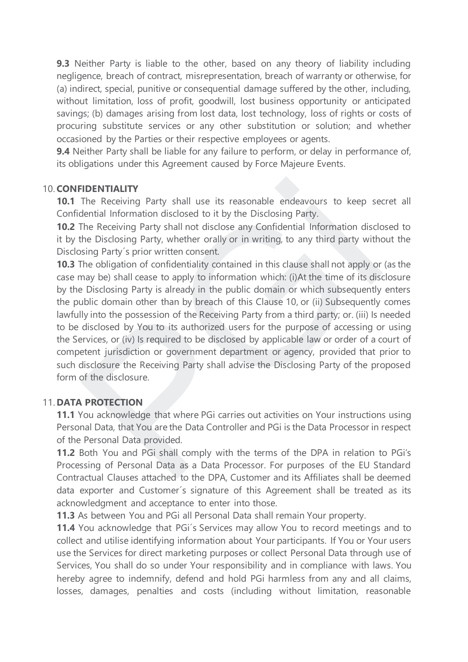**9.3** Neither Party is liable to the other, based on any theory of liability including negligence, breach of contract, misrepresentation, breach of warranty or otherwise, for (a) indirect, special, punitive or consequential damage suffered by the other, including, without limitation, loss of profit, goodwill, lost business opportunity or anticipated savings; (b) damages arising from lost data, lost technology, loss of rights or costs of procuring substitute services or any other substitution or solution; and whether occasioned by the Parties or their respective employees or agents.

**9.4** Neither Party shall be liable for any failure to perform, or delay in performance of, its obligations under this Agreement caused by Force Majeure Events.

#### 10. **CONFIDENTIALITY**

**10.1** The Receiving Party shall use its reasonable endeavours to keep secret all Confidential Information disclosed to it by the Disclosing Party.

**10.2** The Receiving Party shall not disclose any Confidential Information disclosed to it by the Disclosing Party, whether orally or in writing, to any third party without the Disclosing Party´s prior written consent.

**10.3** The obligation of confidentiality contained in this clause shall not apply or (as the case may be) shall cease to apply to information which: (i)At the time of its disclosure by the Disclosing Party is already in the public domain or which subsequently enters the public domain other than by breach of this Clause 10, or (ii) Subsequently comes lawfully into the possession of the Receiving Party from a third party; or. (iii) Is needed to be disclosed by You to its authorized users for the purpose of accessing or using the Services, or (iv) Is required to be disclosed by applicable law or order of a court of competent jurisdiction or government department or agency, provided that prior to such disclosure the Receiving Party shall advise the Disclosing Party of the proposed form of the disclosure. **EIDENTIALITY**<br>
The Receiving Party shall use its reasonable endeavours to keep sedential Information disclosed to it by the Disclosing Party.<br>
The Receiving Party shall not disclose any Confidential Information disclose<br>

#### 11. **DATA PROTECTION**

**11.1** You acknowledge that where PGi carries out activities on Your instructions using Personal Data, that You are the Data Controller and PGi is the Data Processor in respect of the Personal Data provided.

**11.2** Both You and PGi shall comply with the terms of the DPA in relation to PGi's Processing of Personal Data as a Data Processor. For purposes of the EU Standard Contractual Clauses attached to the DPA, Customer and its Affiliates shall be deemed data exporter and Customer´s signature of this Agreement shall be treated as its acknowledgment and acceptance to enter into those.

**11.3** As between You and PGi all Personal Data shall remain Your property.

**11.4** You acknowledge that PGi's Services may allow You to record meetings and to collect and utilise identifying information about Your participants. If You or Your users use the Services for direct marketing purposes or collect Personal Data through use of Services, You shall do so under Your responsibility and in compliance with laws. You hereby agree to indemnify, defend and hold PGi harmless from any and all claims, losses, damages, penalties and costs (including without limitation, reasonable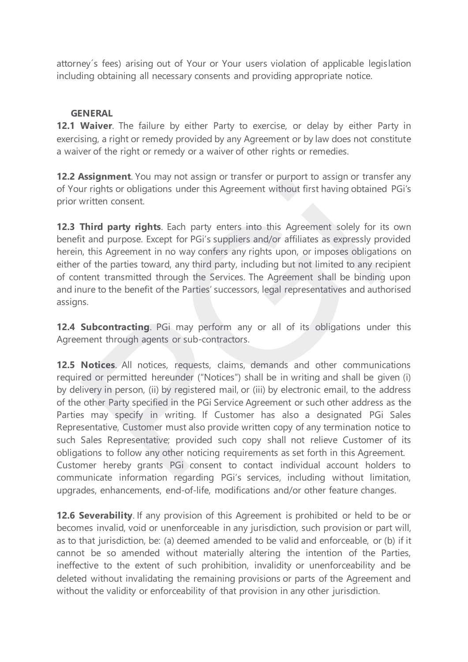attorney´s fees) arising out of Your or Your users violation of applicable legislation including obtaining all necessary consents and providing appropriate notice.

### **GENERAL**

**12.1 Waiver**. The failure by either Party to exercise, or delay by either Party in exercising, a right or remedy provided by any Agreement or by law does not constitute a waiver of the right or remedy or a waiver of other rights or remedies.

**12.2 Assignment**. You may not assign or transfer or purport to assign or transfer any of Your rights or obligations under this Agreement without first having obtained PGi's prior written consent.

**12.3 Third party rights**. Each party enters into this Agreement solely for its own benefit and purpose. Except for PGi's suppliers and/or affiliates as expressly provided herein, this Agreement in no way confers any rights upon, or imposes obligations on either of the parties toward, any third party, including but not limited to any recipient of content transmitted through the Services. The Agreement shall be binding upon and inure to the benefit of the Parties' successors, legal representatives and authorised assigns.

**12.4 Subcontracting**. PGi may perform any or all of its obligations under this Agreement through agents or sub-contractors.

**12.5 Notices**. All notices, requests, claims, demands and other communications required or permitted hereunder ("Notices") shall be in writing and shall be given (i) by delivery in person, (ii) by registered mail, or (iii) by electronic email, to the address of the other Party specified in the PGi Service Agreement or such other address as the Parties may specify in writing. If Customer has also a designated PGi Sales Representative, Customer must also provide written copy of any termination notice to such Sales Representative; provided such copy shall not relieve Customer of its obligations to follow any other noticing requirements as set forth in this Agreement. Customer hereby grants PGi consent to contact individual account holders to communicate information regarding PGi's services, including without limitation, upgrades, enhancements, end-of-life, modifications and/or other feature changes. **Examplement:** To dinay increasing of dansier of purploit to assign of dansies are rights or obligations under this Agreement without first having obtained written consent.<br> **Third party rights**. Each party enters into thi

**12.6 Severability**. If any provision of this Agreement is prohibited or held to be or becomes invalid, void or unenforceable in any jurisdiction, such provision or part will, as to that jurisdiction, be: (a) deemed amended to be valid and enforceable, or (b) if it cannot be so amended without materially altering the intention of the Parties, ineffective to the extent of such prohibition, invalidity or unenforceability and be deleted without invalidating the remaining provisions or parts of the Agreement and without the validity or enforceability of that provision in any other jurisdiction.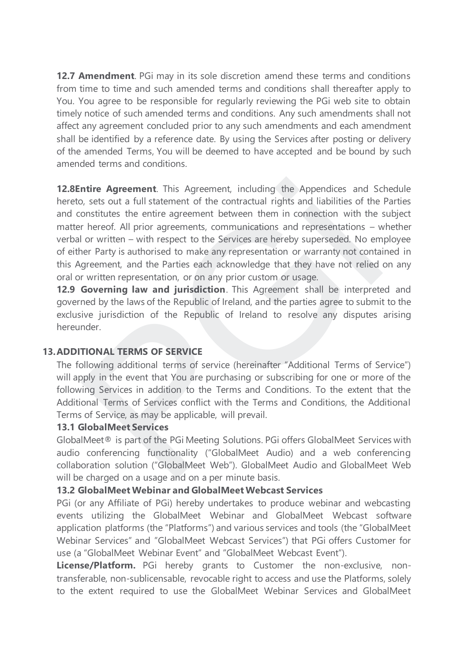**12.7 Amendment**. PGi may in its sole discretion amend these terms and conditions from time to time and such amended terms and conditions shall thereafter apply to You. You agree to be responsible for regularly reviewing the PGi web site to obtain timely notice of such amended terms and conditions. Any such amendments shall not affect any agreement concluded prior to any such amendments and each amendment shall be identified by a reference date. By using the Services after posting or delivery of the amended Terms, You will be deemed to have accepted and be bound by such amended terms and conditions.

**12.8Entire Agreement**. This Agreement, including the Appendices and Schedule hereto, sets out a full statement of the contractual rights and liabilities of the Parties and constitutes the entire agreement between them in connection with the subject matter hereof. All prior agreements, communications and representations – whether verbal or written – with respect to the Services are hereby superseded. No employee of either Party is authorised to make any representation or warranty not contained in this Agreement, and the Parties each acknowledge that they have not relied on any oral or written representation, or on any prior custom or usage. **ntire Agreement**. This Agreement, including the Appendices and Sc<br>
b, sets out a full statement of the contractual rights and liabilities of the<br>
onstitutes the entire agreement between them in connection with the<br>
in rer

**12.9 Governing law and jurisdiction**. This Agreement shall be interpreted and governed by the laws of the Republic of Ireland, and the parties agree to submit to the exclusive jurisdiction of the Republic of Ireland to resolve any disputes arising hereunder.

### **13.ADDITIONAL TERMS OF SERVICE**

The following additional terms of service (hereinafter "Additional Terms of Service") will apply in the event that You are purchasing or subscribing for one or more of the following Services in addition to the Terms and Conditions. To the extent that the Additional Terms of Services conflict with the Terms and Conditions, the Additional Terms of Service, as may be applicable, will prevail.

#### **13.1 GlobalMeet Services**

GlobalMeet® is part of the PGi Meeting Solutions. PGi offers GlobalMeet Services with audio conferencing functionality ("GlobalMeet Audio) and a web conferencing collaboration solution ("GlobalMeet Web"). GlobalMeet Audio and GlobalMeet Web will be charged on a usage and on a per minute basis.

### **13.2 GlobalMeet Webinar and GlobalMeet Webcast Services**

PGi (or any Affiliate of PGi) hereby undertakes to produce webinar and webcasting events utilizing the GlobalMeet Webinar and GlobalMeet Webcast software application platforms (the "Platforms") and various services and tools (the "GlobalMeet Webinar Services" and "GlobalMeet Webcast Services") that PGi offers Customer for use (a "GlobalMeet Webinar Event" and "GlobalMeet Webcast Event").

**License/Platform.** PGi hereby grants to Customer the non-exclusive, nontransferable, non-sublicensable, revocable right to access and use the Platforms, solely to the extent required to use the GlobalMeet Webinar Services and GlobalMeet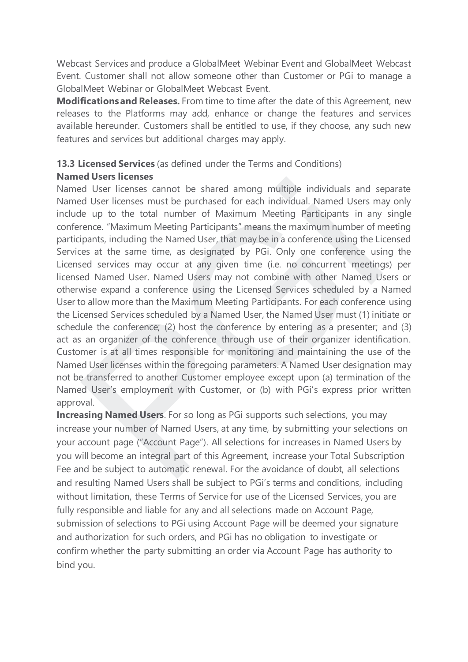Webcast Services and produce a GlobalMeet Webinar Event and GlobalMeet Webcast Event. Customer shall not allow someone other than Customer or PGi to manage a GlobalMeet Webinar or GlobalMeet Webcast Event.

**Modifications and Releases.** From time to time after the date of this Agreement, new releases to the Platforms may add, enhance or change the features and services available hereunder. Customers shall be entitled to use, if they choose, any such new features and services but additional charges may apply.

# **13.3 Licensed Services** (as defined under the Terms and Conditions)

## **Named Users licenses**

Named User licenses cannot be shared among multiple individuals and separate Named User licenses must be purchased for each individual. Named Users may only include up to the total number of Maximum Meeting Participants in any single conference. "Maximum Meeting Participants" means the maximum number of meeting participants, including the Named User, that may be in a conference using the Licensed Services at the same time, as designated by PGi. Only one conference using the Licensed services may occur at any given time (i.e. no concurrent meetings) per licensed Named User. Named Users may not combine with other Named Users or otherwise expand a conference using the Licensed Services scheduled by a Named User to allow more than the Maximum Meeting Participants. For each conference using the Licensed Services scheduled by a Named User, the Named User must (1) initiate or schedule the conference; (2) host the conference by entering as a presenter; and (3) act as an organizer of the conference through use of their organizer identification. Customer is at all times responsible for monitoring and maintaining the use of the Named User licenses within the foregoing parameters. A Named User designation may not be transferred to another Customer employee except upon (a) termination of the Named User's employment with Customer, or (b) with PGi's express prior written approval. d User licenses cannot be shared among multiple individuals and set of User licenses must be purchased for each individual. Named Users may do User licenses must be purchased for each individual. Named Users may even the t

**Increasing Named Users**. For so long as PGi supports such selections, you may increase your number of Named Users, at any time, by submitting your selections on your account page ("Account Page"). All selections for increases in Named Users by you will become an integral part of this Agreement, increase your Total Subscription Fee and be subject to automatic renewal. For the avoidance of doubt, all selections and resulting Named Users shall be subject to PGi's terms and conditions, including without limitation, these Terms of Service for use of the Licensed Services, you are fully responsible and liable for any and all selections made on Account Page, submission of selections to PGi using Account Page will be deemed your signature and authorization for such orders, and PGi has no obligation to investigate or confirm whether the party submitting an order via Account Page has authority to bind you.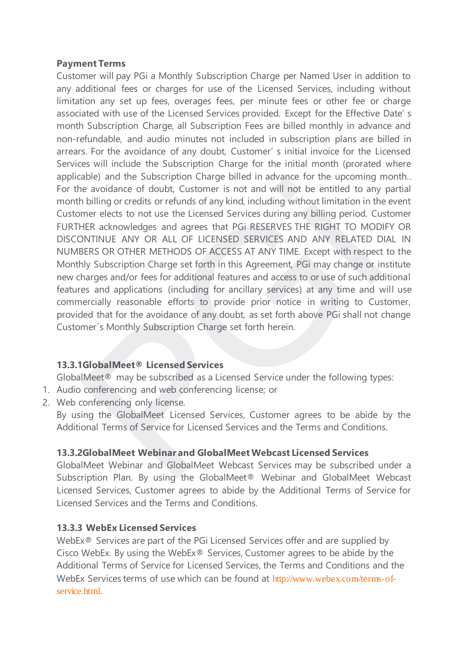#### **Payment Terms**

Customer will pay PGi a Monthly Subscription Charge per Named User in addition to any additional fees or charges for use of the Licensed Services, including without limitation any set up fees, overages fees, per minute fees or other fee or charge associated with use of the Licensed Services provided. Except for the Effective Date' s month Subscription Charge, all Subscription Fees are billed monthly in advance and non-refundable, and audio minutes not included in subscription plans are billed in arrears. For the avoidance of any doubt, Customer' s initial invoice for the Licensed Services will include the Subscription Charge for the initial month (prorated where applicable) and the Subscription Charge billed in advance for the upcoming month.. For the avoidance of doubt, Customer is not and will not be entitled to any partial month billing or credits or refunds of any kind, including without limitation in the event Customer elects to not use the Licensed Services during any billing period. Customer FURTHER acknowledges and agrees that PGi RESERVES THE RIGHT TO MODIFY OR DISCONTINUE ANY OR ALL OF LICENSED SERVICES AND ANY RELATED DIAL IN NUMBERS OR OTHER METHODS OF ACCESS AT ANY TIME. Except with respect to the Monthly Subscription Charge set forth in this Agreement, PGi may change or institute new charges and/or fees for additional features and access to or use of such additional features and applications (including for ancillary services) at any time and will use commercially reasonable efforts to provide prior notice in writing to Customer, provided that for the avoidance of any doubt, as set forth above PGi shall not change Customer´s Monthly Subscription Charge set forth herein. able reading that the substription Critique bined in a dividing to the upcoming the avoidance of doubt, Customer is not and will not be entitled to any billing or credits or refunds of any kind, including without limitatio

### **13.3.1GlobalMeet® Licensed Services**

GlobalMeet® may be subscribed as a Licensed Service under the following types:

- 1. Audio conferencing and web conferencing license; or
- 2. Web conferencing only license.

By using the GlobalMeet Licensed Services, Customer agrees to be abide by the Additional Terms of Service for Licensed Services and the Terms and Conditions.

# **13.3.2GlobalMeet Webinar and GlobalMeet Webcast Licensed Services**

GlobalMeet Webinar and GlobalMeet Webcast Services may be subscribed under a Subscription Plan. By using the GlobalMeet® Webinar and GlobalMeet Webcast Licensed Services, Customer agrees to abide by the Additional Terms of Service for Licensed Services and the Terms and Conditions.

### **13.3.3 WebEx Licensed Services**

WebEx® Services are part of the PGi Licensed Services offer and are supplied by Cisco WebEx. By using the WebEx® Services, Customer agrees to be abide by the Additional Terms of Service for Licensed Services, the Terms and Conditions and the WebEx Services terms of use which can be found at [http://www.webex.com/terms-of](http://www.webex.com/terms-of-service.html)[service.html](http://www.webex.com/terms-of-service.html).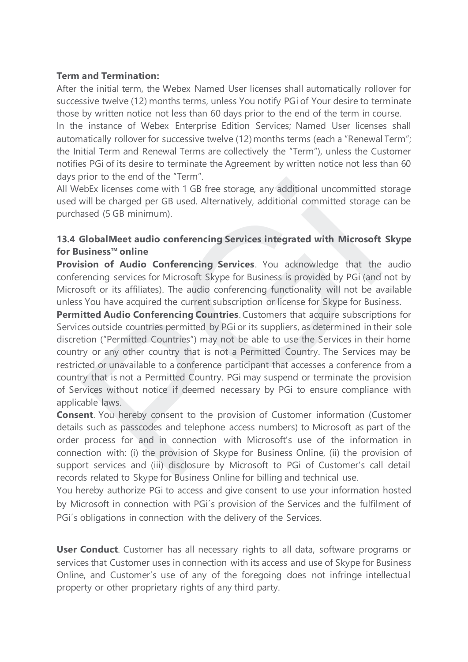#### **Term and Termination:**

After the initial term, the Webex Named User licenses shall automatically rollover for successive twelve (12) months terms, unless You notify PGi of Your desire to terminate those by written notice not less than 60 days prior to the end of the term in course.

In the instance of Webex Enterprise Edition Services; Named User licenses shall automatically rollover for successive twelve (12) months terms (each a "Renewal Term"; the Initial Term and Renewal Terms are collectively the "Term"), unless the Customer notifies PGi of its desire to terminate the Agreement by written notice not less than 60 days prior to the end of the "Term".

All WebEx licenses come with 1 GB free storage, any additional uncommitted storage used will be charged per GB used. Alternatively, additional committed storage can be purchased (5 GB minimum).

## **13.4 GlobalMeet audio conferencing Services integrated with Microsoft Skype for Business™ online**

**Provision of Audio Conferencing Services**. You acknowledge that the audio conferencing services for Microsoft Skype for Business is provided by PGi (and not by Microsoft or its affiliates). The audio conferencing functionality will not be available unless You have acquired the current subscription or license for Skype for Business.

**Permitted Audio Conferencing Countries**. Customers that acquire subscriptions for Services outside countries permitted by PGi or its suppliers, as determined in their sole discretion ("Permitted Countries") may not be able to use the Services in their home country or any other country that is not a Permitted Country. The Services may be restricted or unavailable to a conference participant that accesses a conference from a country that is not a Permitted Country. PGi may suspend or terminate the provision of Services without notice if deemed necessary by PGi to ensure compliance with applicable laws. That the end of the end of the reality.<br>
The end of the end of the reality and the comparison of the end of the end of the end of the end of the provides ased (5 GB minimum).<br> **GlobalMeet audio conferencing Services integr** 

**Consent**. You hereby consent to the provision of Customer information (Customer details such as passcodes and telephone access numbers) to Microsoft as part of the order process for and in connection with Microsoft's use of the information in connection with: (i) the provision of Skype for Business Online, (ii) the provision of support services and (iii) disclosure by Microsoft to PGi of Customer's call detail records related to Skype for Business Online for billing and technical use.

You hereby authorize PGi to access and give consent to use your information hosted by Microsoft in connection with PGi´s provision of the Services and the fulfilment of PGi's obligations in connection with the delivery of the Services.

**User Conduct**. Customer has all necessary rights to all data, software programs or services that Customer uses in connection with its access and use of Skype for Business Online, and Customer's use of any of the foregoing does not infringe intellectual property or other proprietary rights of any third party.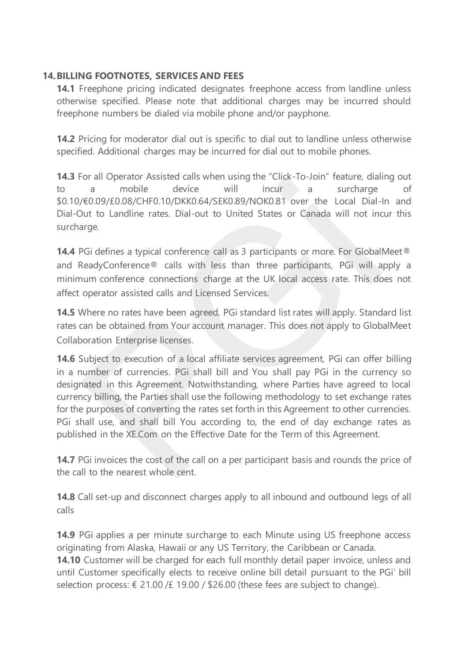### **14.BILLING FOOTNOTES, SERVICES AND FEES**

**14.1** Freephone pricing indicated designates freephone access from landline unless otherwise specified. Please note that additional charges may be incurred should freephone numbers be dialed via mobile phone and/or payphone.

**14.2** Pricing for moderator dial out is specific to dial out to landline unless otherwise specified. Additional charges may be incurred for dial out to mobile phones.

**14.3** For all Operator Assisted calls when using the "Click-To-Join" feature, dialing out to a mobile device will incur a surcharge of \$0.10/€0.09/£0.08/CHF0.10/DKK0.64/SEK0.89/NOK0.81 over the Local Dial-In and Dial-Out to Landline rates. Dial-out to United States or Canada will not incur this surcharge.

**14.4** PGi defines a typical conference call as 3 participants or more. For GlobalMeet ® and ReadyConference® calls with less than three participants, PGi will apply a minimum conference connections charge at the UK local access rate. This does not affect operator assisted calls and Licensed Services.

**14.5** Where no rates have been agreed, PGi standard list rates will apply. Standard list rates can be obtained from Your account manager. This does not apply to GlobalMeet Collaboration Enterprise licenses.

**14.6** Subject to execution of a local affiliate services agreement, PGi can offer billing in a number of currencies. PGi shall bill and You shall pay PGi in the currency so designated in this Agreement. Notwithstanding, where Parties have agreed to local currency billing, the Parties shall use the following methodology to set exchange rates for the purposes of converting the rates set forth in this Agreement to other currencies. PGi shall use, and shall bill You according to, the end of day exchange rates as published in the XE.Com on the Effective Date for the Term of this Agreement. ordination Assistero Lands witern dising the Chicago and political experience in a mobile device will incur a surcharge (€0.09/£0.08/CHF0.10/DKK0.64/SEK0.89/NOK0.81 over the Local Dial-<br>Dut to Landline rates. Dial-out to U

**14.7** PGi invoices the cost of the call on a per participant basis and rounds the price of the call to the nearest whole cent.

**14.8** Call set-up and disconnect charges apply to all inbound and outbound legs of all calls

**14.9** PGi applies a per minute surcharge to each Minute using US freephone access originating from Alaska, Hawaii or any US Territory, the Caribbean or Canada.

**14.10** Customer will be charged for each full monthly detail paper invoice, unless and until Customer specifically elects to receive online bill detail pursuant to the PGi' bill selection process:  $\epsilon$  21.00 / £19.00 / \$26.00 (these fees are subject to change).